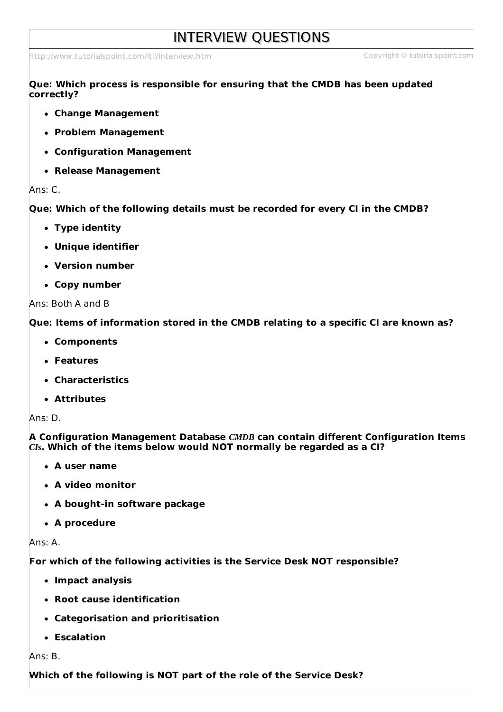# INTERVIEW QUESTIONS

<http://www.tutorialspoint.com/itil/interview.htm> Copyright © tutorialspoint.com

**Que: Which process is responsible for ensuring that the CMDB has been updated correctly?**

- **Change Management**
- **Problem Management**
- **Configuration Management**
- **Release Management**

#### Ans: C.

**Que: Which of the following details must be recorded for every CI in the CMDB?**

- **Type identity**
- **Unique identifier**
- **Version number**
- **Copy number**

#### Ans: Both A and B

**Que: Items of information stored in the CMDB relating to a specific CI are known as?**

- **Components**
- **Features**
- **Characteristics**
- **Attributes**

Ans: D.

**A Configuration Management Database** *CMDB* **can contain different Configuration Items** *CIs***. Which of the items below would NOT normally be regarded as a CI?**

- **A user name**
- **A video monitor**
- **A bought-in software package**
- **A procedure**

Ans: A.

**For which of the following activities is the Service Desk NOT responsible?**

- **Impact analysis**
- **Root cause identification**
- **Categorisation and prioritisation**
- **Escalation**

Ans: B.

**Which of the following is NOT part of the role of the Service Desk?**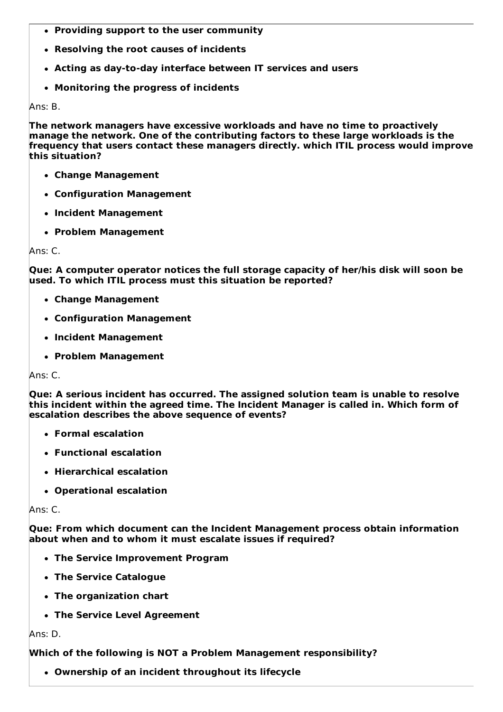- **Providing support to the user community**
- **Resolving the root causes of incidents**
- **Acting as day-to-day interface between IT services and users**
- **Monitoring the progress of incidents**

Ans: B.

**The network managers have excessive workloads and have no time to proactively manage the network. One of the contributing factors to these large workloads is the frequency that users contact these managers directly. which ITIL process would improve this situation?**

- **Change Management**
- **Configuration Management**
- **Incident Management**
- **Problem Management**

Ans: C.

**Que: A computer operator notices the full storage capacity of her/his disk will soon be used. To which ITIL process must this situation be reported?**

- **Change Management**
- **Configuration Management**
- **Incident Management**
- **Problem Management**

Ans: C.

**Que: A serious incident has occurred. The assigned solution team is unable to resolve this incident within the agreed time. The Incident Manager is called in. Which form of escalation describes the above sequence of events?**

- **Formal escalation**
- **Functional escalation**
- **Hierarchical escalation**
- **Operational escalation**

Ans: C.

**Que: From which document can the Incident Management process obtain information about when and to whom it must escalate issues if required?**

- **The Service Improvement Program**
- **The Service Catalogue**
- **The organization chart**
- **The Service Level Agreement**

Ans: D.

# **Which of the following is NOT a Problem Management responsibility?**

**Ownership of an incident throughout its lifecycle**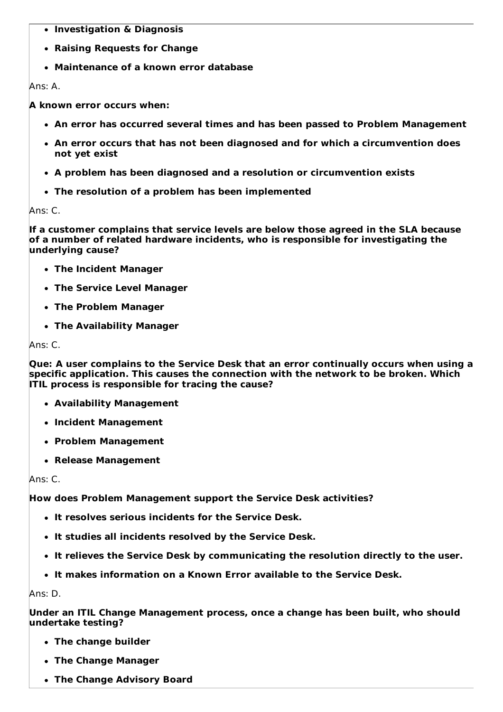- **Investigation & Diagnosis**
- **Raising Requests for Change**
- **Maintenance of a known error database**

Ans: A.

**A known error occurs when:**

- **An error has occurred several times and has been passed to Problem Management**
- **An error occurs that has not been diagnosed and for which a circumvention does not yet exist**
- **A problem has been diagnosed and a resolution or circumvention exists**
- **The resolution of a problem has been implemented**

Ans: C.

**If a customer complains that service levels are below those agreed in the SLA because of a number of related hardware incidents, who is responsible for investigating the underlying cause?**

- **The Incident Manager**
- **The Service Level Manager**
- **The Problem Manager**
- **The Availability Manager**

Ans: C.

**Que: A user complains to the Service Desk that an error continually occurs when using a specific application. This causes the connection with the network to be broken. Which ITIL process is responsible for tracing the cause?**

- **Availability Management**
- **Incident Management**
- **Problem Management**
- **Release Management**

Ans: C.

**How does Problem Management support the Service Desk activities?**

- **It resolves serious incidents for the Service Desk.**
- **It studies all incidents resolved by the Service Desk.**
- **It relieves the Service Desk by communicating the resolution directly to the user.**
- **It makes information on a Known Error available to the Service Desk.**

Ans: D.

**Under an ITIL Change Management process, once a change has been built, who should undertake testing?**

- **The change builder**
- **The Change Manager**
- **The Change Advisory Board**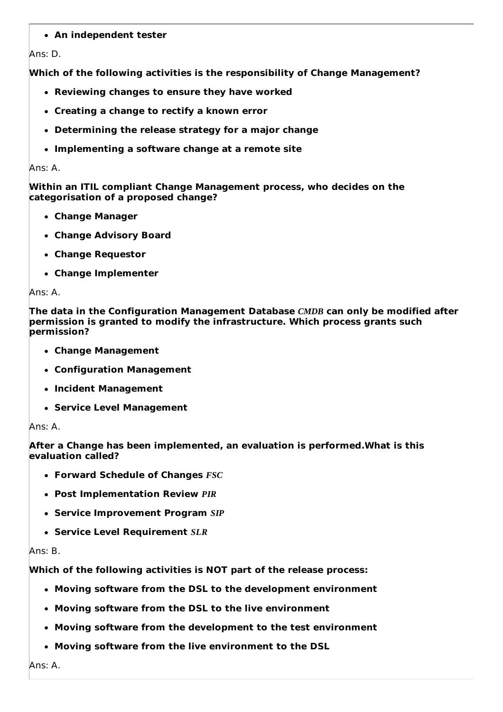# **An independent tester**

## Ans: D.

**Which of the following activities is the responsibility of Change Management?**

- **Reviewing changes to ensure they have worked**
- **Creating a change to rectify a known error**
- **Determining the release strategy for a major change**
- **Implementing a software change at a remote site**

### Ans: A.

**Within an ITIL compliant Change Management process, who decides on the categorisation of a proposed change?**

- **Change Manager**
- **Change Advisory Board**
- **Change Requestor**
- **Change Implementer**

## Ans: A.

**The data in the Configuration Management Database** *CMDB* **can only be modified after permission is granted to modify the infrastructure. Which process grants such permission?**

- **Change Management**
- **Configuration Management**
- **Incident Management**
- **Service Level Management**

## Ans: A.

**After a Change has been implemented, an evaluation is performed.What is this evaluation called?**

- **Forward Schedule of Changes** *FSC*
- **Post Implementation Review** *PIR*
- **Service Improvement Program** *SIP*
- **Service Level Requirement** *SLR*

## Ans: B.

**Which of the following activities is NOT part of the release process:**

- **Moving software from the DSL to the development environment**
- **Moving software from the DSL to the live environment**
- **Moving software from the development to the test environment**
- **Moving software from the live environment to the DSL**

Ans: A.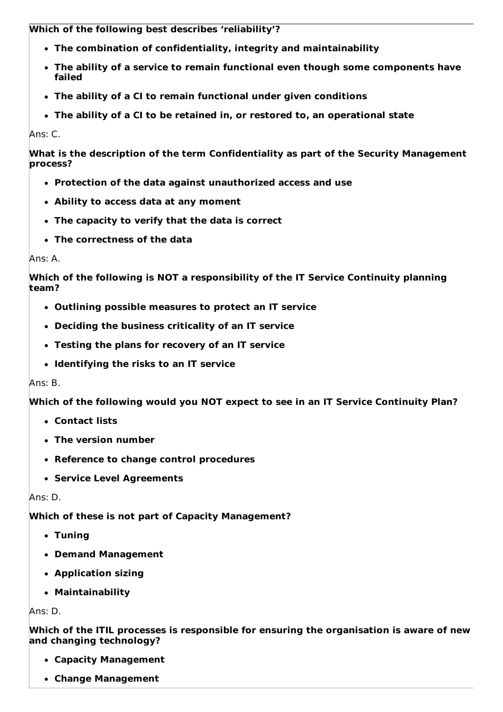**Which of the following best describes 'reliability'?**

- **The combination of confidentiality, integrity and maintainability**
- **The ability of a service to remain functional even though some components have failed**
- **The ability of a CI to remain functional under given conditions**
- **The ability of a CI to be retained in, or restored to, an operational state**

Ans: C.

**What is the description of the term Confidentiality as part of the Security Management process?**

- **Protection of the data against unauthorized access and use**
- **Ability to access data at any moment**
- **The capacity to verify that the data is correct**
- **The correctness of the data**

# Ans: A.

**Which of the following is NOT a responsibility of the IT Service Continuity planning team?**

- **Outlining possible measures to protect an IT service**
- **Deciding the business criticality of an IT service**
- **Testing the plans for recovery of an IT service**
- **Identifying the risks to an IT service**

# Ans: B.

**Which of the following would you NOT expect to see in an IT Service Continuity Plan?**

- **Contact lists**
- **The version number**
- **Reference to change control procedures**
- **Service Level Agreements**

# Ans: D.

**Which of these is not part of Capacity Management?**

- **Tuning**
- **Demand Management**
- **Application sizing**
- **Maintainability**

Ans: D.

**Which of the ITIL processes is responsible for ensuring the organisation is aware of new and changing technology?**

- **Capacity Management**
- **Change Management**